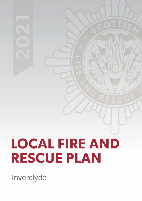# **LOCAL FIRE AND RESCUE PLAN**

Inverclyde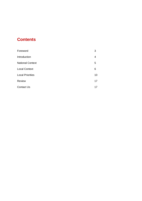## **Contents**

| Foreword                | 3  |
|-------------------------|----|
| Introduction            | 4  |
| <b>National Context</b> | 5  |
| <b>Local Context</b>    | 6  |
| <b>Local Priorities</b> | 10 |
| <b>Review</b>           | 17 |
| <b>Contact Us</b>       | 17 |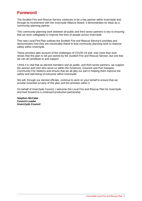## **Foreword**

The Scottish Fire and Rescue Service continues to be a key partner within Inverclyde and, through its involvement with the Inverclyde Alliance Board, it demonstrates its value as a community planning partner.

This community planning work between all public and third sector partners is key to ensuring that we work collegiately to improve the lives of people across Inverclyde.

This new Local Fire Plan outlines the Scottish Fire and Rescue Service's priorities and demonstrates how they are inextricably linked to that community planning work to improve safety within Inverclyde.

These priorities take account of the challenges of COVID-19 and, now more than ever, shows that this plan is not just owned by the Scottish Fire and Rescue Service, but one that we can all contribute to and support.

I think it is vital that as elected members and as public, and third sector partners, we support the women and men who serve us within the Greenock, Gourock and Port Glasgow Community Fire Stations and ensure that we all play our part in helping them improve the safety and well-being of everyone within Inverclyde.

We will, through our elected officials, continue to work on your behalf to ensure that we provide essential scrutiny of this plan and the priorities within it

On behalf of Inverclyde Council, I welcome this Local Fire and Rescue Plan for Inverclyde and look forward to a continued productive partnership.

**Stephen McCabe Council Leader Inverclyde Council**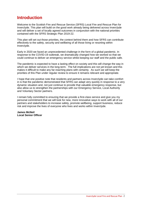## **Introduction**

Welcome to the Scottish Fire and Rescue Service (SFRS) Local Fire and Rescue Plan for Inverclyde. This plan will build on the good work already being delivered across Inverclyde and will deliver a set of locally agreed outcomes in conjunction with the national priorities contained with the SFRS Strategic Plan 2019-22.

This plan will set out those priorities, the context behind them and how SFRS can contribute effectively to the safety, security and wellbeing of all those living or resorting within Inverclyde.

Early in 2020 we faced an unprecedented challenge in the form of a global pandemic. In response to the COVID-19 outbreak, we dramatically changed how we worked so that we could continue to deliver an emergency service whilst keeping our staff and the public safe.

The pandemic is expected to have a lasting effect on society and this will change the way in which we deliver services in the long-term. The full implications are not yet known and this makes it difficult to make any far-reaching plans with certainty. As such we will keep the priorities of this Plan under regular review to ensure it remains relevant and appropriate.

I hope that one positive note that residents and partners across Inverclyde can take comfort in is that the pandemic demonstrated that SFRS can adapt very quickly in response to a very dynamic situation and, not just continue to provide that valuable emergency response, but also allow us to strengthen the partnerships with our Emergency Service, Local Authority and Voluntary Sector partners.

I remain fully committed to ensuring that we provide a first-class service and give you my personal commitment that we will look for new, more innovative ways to work with all of our partners and stakeholders to increase safety, promote wellbeing, support business, reduce risk and improve the lives of everyone who lives and works within Inverclyde.

**James McNeil Local Senior Officer**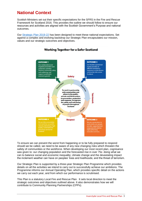## **National Context**

Scottish Ministers set out their specific expectations for the SFRS in the Fire and Rescue Framework for Scotland 2016. This provides the outline we should follow to ensure our resources and activities are aligned with the Scottish Government's Purpose and national outcomes.

Our [Strategic Plan](https://www.firescotland.gov.uk/media/1476819/SFRS_Strategic_Plan_2019_22_V1.0.pdf) 2019-22 has been designed to meet these national expectations. Set against a complex and evolving backdrop our Strategic Plan encapsulates our mission, values and our strategic outcomes and objectives.



#### **Working Together for a Safer Scotland**

To ensure we can prevent the worst from happening or to be fully prepared to respond should we be called, we need to be aware of any new changing risks which threaten the safety of communities or the workforce. When developing our most recent plan, cognisance was given to: our changing population and the forecasted rise in over 75s: doing what we can to balance social and economic inequality; climate change and the devastating impact the inclement weather can have on peoples' lives and livelihoods; and the threat of terrorism.

Our Strategic Plan is supported by a three-year Strategic Plan Programme which provides details on all the activities we intend to carry out to successfully achieve our ambitions. The Programme informs our Annual Operating Plan, which provides specific detail on the actions we carry out each year, and from which our performance is scrutinised.

This Plan is a statutory Local Fire and Rescue Plan. It sets local direction to meet the strategic outcomes and objectives outlined above. It also demonstrates how we will contribute to Community Planning Partnerships (CPPs).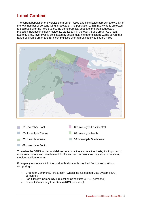## **Local Context**

The current population of Inverclyde is around 77,800 and constitutes approximately 1.4% of the total number of persons living in Scotland. The population within Inverclyde is projected to decrease over the next 8 years, the demographical aspect of the area suggests a projected increase in elderly residents, particularly in the over 75 age group. As a local authority area, Inverclyde is constituted by seven multi-member electoral wards covering a range of diverse urban and rural communities over approximately 62 square miles





To enable the SFRS to plan and deliver on a proactive and reactive basis, it is important to understand where and how demand for fire and rescue resources may arise in the short, medium and longer term.

Emergency response within the local authority area is provided from three locations comprising: -

- Greenock Community Fire Station (Wholetime & Retained Duty System [RDS] personnel)  $\mathcal{N}(\mathcal{A})$  , these may have changes since last publications since last publications  $\mathcal{A}(\mathcal{A})$
- Port Glasgow Community Fire Station (Wholetime & RDS personnel)
- Gourock Community Fire Station (RDS personnel).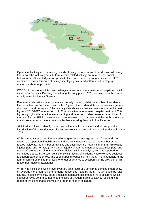

Operational activity across Inverclyde indicates a general downward trend in overall activity levels over the last five years. In terms of fire related activity, fire related anti- social behaviour has fluctuated year on year with the current trend showing an increase. SFRS continue to review this area of activity, identifying any trend patterns and deploying resources where appropriate.

COVID-19 has produced its own challenges across our communities and, despite an initial increase in Domestic Dwelling Fires during the early part of 2020, we have seen the lowest activity levels for the last 5 years.

Fire fatality rates within Inverclyde are extremely low and, whilst the number of accidental fire casualties has fluctuated over the last 5 years, the incident data demonstrates a general downward trend. Analysis of the casualty data shows us that we have seen, from the peak figure in 2016-2017, a reduction of 71% in casualties who required hospital treatment. This figure highlights the benefit of early warning and detection. It also serves as a reminder of the need for the SFRS to ensure we continue to work with partners and the public to ensure that those most at risk in our communities have working Automatic Fire Detection.

SFRS will continue to identify those most vulnerable in our society and will support the introduction of the new domestic fire and smoke alarm standard due to be introduced in early 2022.

Whilst attendances at non-fire related emergencies on average account for around 1 in every 10 of operational mobilisations and are considerably less than the number of fire related incidents, the number of fatalities and casualties are notably higher than fire related injuries (fatal and non-fatal). Whilst the majority of non-fire emergency casualties (fatal and non-fatal) are as a result of road traffic collisions within Inverclyde, we have reported to committee that we have seen consistently high levels of incidents where we have deployed to support partner agencies. The support being requested from the SFRS is generally in the form of forcing entry into premises to render assistance to occupants or the provision of first responder (medical) assistance.

Whilst many incidents within Inverclyde are as a result of a confirmed genuine emergency, on average more than half of emergency responses made by the SFRS turn out to be false alarms. These alarms may be as a result of a genuine belief that a fire is occurring which subsequently is confirmed not to be the case or through malicious activity resulting in a report of fire being made knowing this report is false in its nature.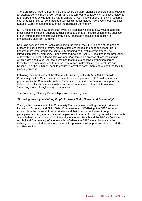There are also a large number of incidents where an alarm signal is generated and, following an attendance and investigation by SFRS, these turn out to be false alarms. These incidents are referred to as Unwanted Fire Alarm Signals (UFAS). They present, not only a resource challenge for SFRS but contribute to business disruption across Inverclyde in our Hospitals, Schools, Care Homes and throughout the Business Community.

SFRS recognise that now, more than ever, it is vital that we look at new ways to address these types of incidents, support business, reduce demand, limit disruption to the education of our young people and improve safety on our roads as a result of a reduction in unnecessary blue light journeys.

Reducing service demand, whilst developing the role of the SFRS as part of the ongoing process of public service reform, presents both challenges and opportunities for us to become more integrated in the community planning partnership environment. The introduction of the Community Empowerment (Scotland) Act 2015 resulted in the production of Inverclyde's Local Outcome Improvement Plan through a process of locality planning which is designed to deliver local outcomes that make a positive contribution across Inverclyde's communities and to reduce inequalities. In developing this Local Fire and Rescue Plan, the SFRS will seek to ensure its activities compliment and support the locality planning process.

Following the introduction of the Community Justice (Scotland) Act 2016, Inverclyde Community Justice Outcomes Improvement Plan was produced. SFRS will ensure, as a partner within the Community Justice Partnership, its resources contribute to support the delivery of the local community justice outcomes improvement plan and its vision of 'Improving Lives, Strengthening Communities'.

The Community Planning Partnership vision for Inverclyde is:

#### *'Nurturing Inverclyde: Getting it right for every Child, Citizen and Community'*

Through the development of its Community Plan and associated key strategic priorities focused on Economy and Skills, Safer Communities and Wellbeing, the SFRS takes an active role in the delivery of these priorities and their intended outcomes through participation and engagement across the partnership arena. Supporting the reduction in Anti-Social Behaviour, Adult and Child Protection outcomes, Health and Social Care (including Alcohol and Drug strategies) are examples of where the SFRS can collaborate in the delivery of these priorities at a local level whilst pursuing the key priorities of this Local Fire and Rescue Plan.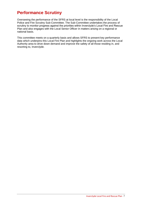## **Performance Scrutiny**

Overseeing the performance of the SFRS at local level is the responsibility of the Local Police and Fire Scrutiny Sub-Committee. The Sub-Committee undertakes the process of scrutiny to monitor progress against the priorities within Inverclyde's Local Fire and Rescue Plan and also engages with the Local Senior Officer in matters arising on a regional or national basis.

This committee meets on a quarterly basis and allows SFRS to present key performance data which underpins this Local Fire Plan and highlights the ongoing work across the Local Authority area to drive down demand and improve the safety of all those residing in, and resorting to, Inverclyde.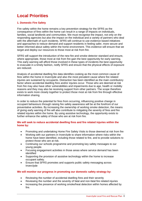## **Local Priorities**

#### **1. Domestic Fire Safety**

Fire safety within the home remains a key prevention strategy for the SFRS as the consequence of fires within the home can result in a range of impacts on individuals, families, social landlords and communities. We must recognise the impact, not only on the responding agencies but also the impact on the individual and a variety of partners who deal with the aftermath of such incidents. SFRS will continue to use evidence based initiatives and approaches to reduce demand and support residents in feeling safer, more secure and better informed about safety within the home environment. This evidence will ensure that we target and deploy our resources to those most at risk from fire.

SFRS will support the introduction of the new fire and smoke detector standard and ensure, where appropriate, those most at risk from fire gain the best opportunity for early warning. This early warning will afford those involved in these types of incidents the best opportunity to evacuate in a timely fashion, notify SFRS and ensure that the physical effects of exposure are reduced.

Analysis of accidental dwelling fire data identifies cooking as the most common cause of fires within the home in Inverclyde and also the most prevalent cause where fire related injuries are sustained by occupants. Distraction has been identified as the main contributory factor where accidental dwelling fires and/or injuries occur. Those who are deemed at risk from fire may also have other vulnerabilities and impairments due to age, health or mobility reasons and they may also be receiving support from other partners. The scope therefore exists to work more closely together to protect those most at risk from fire through effective information sharing.

In order to reduce the potential for fires from occurring, influencing positive change in occupant behaviours through raising fire safety awareness will be at the forefront of our preventative activities. By increasing the ownership of working smoke detection, the means of giving early warning of fire will also contribute to mitigating the severity of fires and fire related injuries within the home. By using assistive technology, the opportunity exists to further enhance the safety of those who are at risk from fire.

#### **We will seek to reduce accidental dwelling fires and fire related injuries within the home by:**

- Promoting and undertaking Home Fire Safety Visits to those deemed at risk from fire
- Working with our partners in Inverclyde to share information where risks within the home have been identified, including those related to fire, and to provide solutions to protect those who are at risk.
- Continuing our schools programme and promoting key safety messages to our young people.
- Focusing engagement activities in those areas where service demand has been identified
- Supporting the provision of assistive technology within the home to increase occupant safety.
- Ensure that SFRS promotes and supports public safety messaging across Inverclyde

#### **We will monitor our progress in promoting our domestic safety strategy by:**

- Reviewing the number of accidental dwelling fires and their severity
- Reviewing the number and the severity of fatal and non-fatal fire related injuries
- Increasing the presence of working smoke/heat detection within homes affected by fire.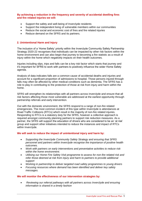#### **By achieving a reduction in the frequency and severity of accidental dwelling fires and fire related injuries we will:**

- Support the safety and well-being of Inverclyde residents
- Support the independent living of vulnerable members within our communities
- Reduce the social and economic cost of fires and fire related injuries
- Reduce demand on the SFRS and its partners.

#### **2. Unintentional Harm and Injury**

The inclusion of a 'Home Safety' priority within the Inverclyde Community Safety Partnership Strategy 2020-22 recognises that individuals can be impacted by other risk factors within the home environment and can also begin that journey to becoming a fire statistic as a result of injury within the home which negatively impacts on their health outcomes.

Injuries including slips, trips and falls can be a key risk factor which starts that journey and it's important for SFRS to work with partners to positively influence the wider Home Safety agenda.

Analysis of data indicates falls are a common cause of accidental deaths and injuries and account for a significant proportion of admissions to hospital. Those persons injured through falls may often be affected by other medical conditions such as dementia. The SFRS has a role to play in contributing to the protection of those at risk from injury and harm within the home.

SFRS will strengthen its relationships with all partners across Inverclyde and ensure that all risk factors affecting those most vulnerable are addressed at the earliest opportunity through partnership referrals and early intervention.

Out with the domestic environment, the SFRS respond to a range of non-fire related emergencies. The most common incident of this type within Inverclyde is attendances at Road Traffic Collisions (RTCs) which result in the majority of non-fire related injuries. Responding to RTCs is a statutory duty for the SFRS, however a collective approach is required amongst community planning partners to support risk reduction measures. As a partner, the SFRS will support the education of drivers who are considered to be an 'at risk' group and support other initiatives intended to reduce the instances and impact of RTCs within Inverclyde.

#### **We will seek to reduce the impact of unintentional injury and harm by:**

- *Supporting the Inverclyde Community Safety Strategy and ensuring that SFRS personnel and partners within Inverclyde recognise the importance of positive health outcomes.*
- *Work with partners on early interventions and preventative activities to reduce risk within the home environment.*
- *Utilising our Home Fire Safety Visit programme to assess for non-fire related risk and refer those deemed at risk from injury and harm to partners to provide additional support*
- *Working in partnership to deliver targeted road safety programmes to young drivers*
- *Focusing resources where demand has been identified and deliver key safety messages.*

#### **We will monitor the effectiveness of our intervention strategies by:**

• *Reviewing our referral pathways with all partners across Inverclyde and ensuring information is shared in a timely fashion*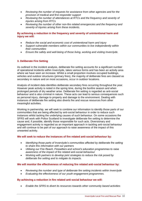- *Reviewing the number of requests for assistance from other agencies and for the provision of medical and first responder support*
- *Reviewing the number of attendances at RTCs and the frequency and severity of injuries arising from RTCs*
- *Reviewing the number of other non-fire related emergencies and the frequency and severity of injuries arising from these incidents.*

#### **By achieving a reduction in the frequency and severity of unintentional harm and injury we will:**

- *Reduce the social and economic cost of unintentional harm and injury*
- *Support vulnerable members within our communities to live independently within their communities*
- *Ensure the safety and well-being of those living, working and visiting Inverclyde.*

#### **3. Deliberate Fire Setting**

As outlined in the incident analysis, deliberate fire setting accounts for a significant number of operational incidents within Inverclyde, takes various forms and has been an activity area where we have seen an increase. Whilst a small proportion involves occupied buildings, vehicles and outdoor structures (primary fires), the majority of deliberate fires are classed as secondary in nature and on most occasions, occur in outdoor locations.

Analysis of incident data identifies deliberate secondary fires occurring throughout the year. However peak activity is noted in the spring time, during the bonfire season and when prolonged periods of dry weather arise. Deliberate fire setting is regarded as anti-social behaviour and is also criminal in nature. These acts can lead to serious consequences such as personal injury, damage to property and damage to the environment. Dealing with instances of deliberate fire setting also diverts fire and rescue resources from other meaningful activities.

Working in partnership, we will seek to combine our information to identify those parts of our communities that are being affected by anti-social behaviour in order to reduce such instances whilst tacking the underlying causes of such behaviour. On some occasions the SFRS will work with Police Scotland to investigate deliberate fire setting to determine the cause and, if possible, identify those responsible for such acts. Diversionary and engagement activity is regarded as an important approach in tackling anti-social behaviour and will continue to be part of our approach to raise awareness of the impact of this unwanted activity.

#### **We will seek to reduce the instances of fire related anti-social behaviour by:**

- *Identifying those parts of Inverclyde's communities affected by deliberate fire setting to share this information with our partners*
- *Utilising our Fire Reach, Firesetters and school's education programmes to raise awareness of the impact of fire related anti-social behaviour*
- *Working with partners to develop joint strategies to reduce the risk posed by deliberate fire setting and to mitigate its impacts.*

#### **We will monitor the effectiveness of reducing fire related anti-social behaviour by:**

- *Reviewing the number and type of deliberate fire setting incidents within Inverclyde*
- *Evaluating the effectiveness of our youth engagement programmes.*

#### **By achieving a reduction in fire related anti-social behaviour we will:**

• *Enable the SFRS to divert its resources towards other community based activities*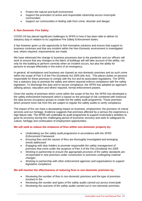- *Protect the natural and built environment*
- *Support the promotion of active and responsible citizenship across Inverclyde communities*
- *Support our communities in feeling safe from crime, disorder and danger.*

#### **4. Non-Domestic Fire Safety**

COVID-19 has placed significant challenges to SFRS in how it has been able to deliver its statutory duty in relation to its Legislative Fire Safety Enforcement duties.

It has however given us the opportunity to find innovative solutions and ensure that support to business continues and that any incident within the Non-Domestic environment is investigated and, where required, improvements are made.

We have witnessed the change to business processes due to the pandemic and our officers will work to ensure that any changes to the fabric of buildings will still take account of the ability, not only for the building to perform correctly when an incident occurs, but also the ability for persons to escape effectively in the event of an emergency.

In general, all workplaces and business are classed as non-domestic premises and as such come within the scope of Part 3 of the Fire (Scotland) Act 2005 (the Act). This places duties on persons responsible for these premises to comply with the Act and its associated regulations. The SFRS has a statutory duty to promote fire safety and where required enforce compliance with fire safety legislation. To discharge this duty and to secure compliance, the SFRS has adopted an approach utilising advice, education and where required, formal enforcement powers.

Given the variety of premises which come within the scope of the Act, the SFRS has developed a fire safety enforcement framework which is based on the principal of risk combined with historical fire data across occupancy groups to create the fire safety audit programme. Those premises which present more risk from fire are subject to regular fire safety audits to verify compliance.

The impact of fire can have a devastating impact on business, employment, the provision of critical services and our heritage. Evidence suggests that premises affected by a serious fire experience a high failure rate. The SFRS will undertake its audit programme to support Inverclyde's ambition to grow its economy during this challenging period of economic recovery and seek to safeguard its culture, heritage and continuation of employment opportunities.

#### **We will seek to reduce the instances of fires within non-domestic property by:**

- *Undertaking our fire safety audit programme in accordance with the SFRS Enforcement Framework*
- *Ensuring fires and the causes of fires are thoroughly investigated and emerging trends addressed*
- *Engaging with duty holders to promote responsible fire safety management of premises that come under the auspices of Part 3 of the Fire (Scotland) Act 2005*
- *Working in partnership to ensure the appropriate provision of fire safety standards are incorporated in new premises under construction or premises undergoing material changes*
- *Working in partnership with other enforcement agencies and organisations to support legislative compliance.*

#### **We will monitor the effectiveness of reducing fires in non-domestic premises by:**

- *Reviewing the number of fires in non-domestic premises and the type of premises involved in fire*
- *Reviewing the number and types of fire safety audits carried out across Inverclyde*
- *Reviewing the outcome of fire safety audits carried out in non-domestic premises.*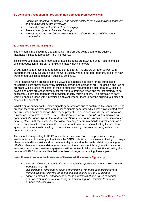#### **By achieving a reduction in fires within non-domestic premises we will:**

- *Enable the industrial, commercial and service sector to maintain business continuity and employment across Inverclyde*
- *Reduce the potential for loss of life and injury*
- *Protect Inverclyde's culture and heritage*
- *Protect the natural and built environment and reduce the impact of fire on our communities.*

#### **5. Unwanted Fire Alarm Signals**

The pandemic has shown us that a reduction in premises being open to the public is inextricably linked to a reduction in UFAS events.

This shows us that a large proportion of these incidents are down to human factors and it is vital that education forms part of SFRS's strategy moving forward.

UFAS continue to prove a large resource demand for SFRS and we will look to work with partners in the NHS, Education and the Care Sector, who are our top reporters, to look at new ways to address this and support business continuity.

Fire protection within premises can be viewed as a holistic approach for the purposes of safeguarding life and/or property by inhibiting, growth and spread of fire. The design and use of premises will influence the extent of the fire protection required to be incorporated within it. In developing a fire protection strategy for the various premises types and for that strategy to be successful, a key component is the provision of early warning of fire. The provision of early warning enables those within premises sufficient time for them to exit the building to a place of safety in the event of fire.

Whilst a small number of fire alarm signals generated are due to confirmed fire conditions being present, there are an even greater number of signals generated which when investigated have occurred when no fire conditions have been present. On such occasions these are known as 'Unwanted Fire Alarm Signals' (UFAS). This is defined as *'an event which has required an operational attendance by the Fire and Rescue Service due to the unwanted actuation of a fire alarm system'*. In these instances, the signal may originate from a monitoring/call centre as a result of an automatic activation of the fire alarm system or a person activating the fire alarm system either maliciously or with good intentions believing a fire was occurring within nondomestic premises.

The impact of responding to UFAS incidents causes disruption to the premises working environment and to the range of activities the SFRS undertake. Unnecessary blue light journeys also create additional risks and hazards to firefighters and to the public whilst responding to UFAS incidents and have a detrimental impact on the environment through additional carbon emissions. Active and positive engagement with occupiers to take responsibility in limiting the number of UFAS incidents within their premises is integral to reducing these impacts.

#### **We will seek to reduce the instances of Unwanted Fire Alarms Signals by:**

- *Working with our partners to find new, innovative approaches to drive down demand in relation to UFAS*
- *Investigating every cause of alarm and engaging with those responsible for fire warning systems following an operational attendance at a UFAS incident*
- *Analysing our UFAS attendances at those premises that give cause to frequent generation of false alarms to identify trends and support occupiers to develop demand reduction plans*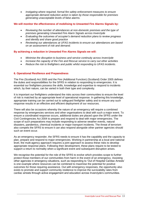• *Instigating where required, formal fire safety enforcement measures to ensure appropriate demand reduction action is taken by those responsible for premises generating unacceptable levels of false alarms.* 

#### **We will monitor the effectiveness of mobilising to Unwanted Fire Alarms Signals by:**

- *Reviewing the number of attendances at non-domestic premises and the type of premises generating Unwanted Fire Alarm Signals across Inverclyde*
- *Evaluating the outcomes of occupier's demand reduction plans to review progress and identify and share good practice*
- *Reviewing our attendances at UFAS incidents to ensure our attendances are based on an assessment of risk and demand.*

#### **By achieving a reduction in Unwanted Fire Alarms Signals we will:**

- *Minimise the disruption to business and service continuity across Inverclyde*
- *Increase the capacity of the Fire and Rescue service to carry out other activities*
- *Reduce the risk to firefighters and public whilst responding to UFAS incidents.*

#### **6. Operational Resilience and Preparedness**

The Fire (Scotland) Act 2005 and the Fire (Additional Function) (Scotland) Order 2005 defines the duties and responsibilities for the SFRS in relation to responding to emergencies. It is essential our firefighters possess the skills, knowledge and expertise to respond to incidents which, by their nature, can be varied in both their type and complexity.

It is important our firefighters understand the risks across their communities to ensure the level of risk is matched by an appropriate level of operational response. In gathering this knowledge, appropriate training can be carried out to safeguard firefighter safety and to ensure any such response results in an effective and efficient deployment of our resources.

There will also be occasions whereby the nature of an emergency will require a combined response by emergencies services and other organisations to deal with such a major event. To ensure a coordinated response occurs, additional duties are placed upon the SFRS under the Civil Contingencies Act 2004 to prepare and respond to deal with major emergencies. The scope of such preparations may include responding to adverse weather events, natural disasters, pandemics, chemical incidents or major transport incidents. The threat of terrorism also compels the SFRS to ensure it can also respond alongside other partner agencies should such an event occur.

As an emergency responder, the SFRS needs to ensure it has the capability and the capacity to plan, prepare and respond to major emergencies. Working in partnership at a local and national level, the multi-agency approach requires a joint approach to assess these risks to develop appropriate response plans. Following their development, these plans require to be tested to support a return to normality when a significant event and subsequent disruption arises.

We recognise the potential for the role of the SFRS to evolve which provides scope to further protect those members of our communities from harm in the event of an emergency. Assisting other agencies in emergency situations, such as responding to 'Out of Hospital Cardiac Arrests' is one example where resources can be combined to maximise the potential for positive outcomes for those requiring assistance. Out with emergency responses, the opportunity also exists to promote and support community resilience to improve the survivability rates from cardiac arrests through active engagement and education across Inverclyde's communities.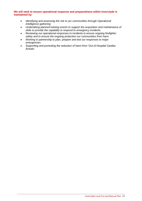#### **We will seek to ensure operational response and preparedness within Inverclyde is maintained by:**

- *Identifying and assessing the risk to our communities through Operational Intelligence gathering*
- *Undertaking planned training events to support the acquisition and maintenance of skills to provide the capability to respond to emergency incidents*
- *Reviewing our operational responses to incidents to ensure ongoing firefighter safety and to ensure the ongoing protection our communities from harm*
- *Working in partnership to plan, prepare and test our responses to major emergencies*
- *Supporting and promoting the reduction of harm from 'Out of Hospital Cardiac Arrests'*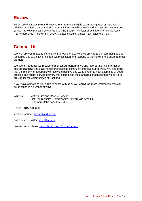### **Review**

To ensure this Local Fire and Rescue Plan remains flexible to emerging local or national priorities a review may be carried out at any time but will be reviewed at least once every three years. A review may also be carried out if the Scottish Minister directs it or if a new Strategic Plan is approved. Following a review, the Local Senior Officer may revise the Plan.

## **Contact Us**

We are fully committed to continually improving the service we provide to our communities and recognise that to achieve this goal we must listen and respond to the views of the public and our partners.

We use all feedback we receive to monitor our performance and incorporate this information into our planning and governance processes to continually improve our service. We are proud that the majority of feedback we receive is positive and we are keen to hear examples of good practice and quality service delivery that exemplifies the standards of service that we strive to provide for the communities of Scotland.

If you have something you'd like to share with us or you would like more information, you can get in touch in a number of ways:

Write to: Scottish Fire and Rescue Service East Renfrewshire, Renfrewshire & Inverclyde Area HQ 5 Thornhill, Johnstone PA5 8JH

Phone: 01505 356635

Visit our website: firescotland.gov.uk

Follow us on Twitter: @scotfire\_erri

Like us on Facebook: Scottish Fire and Rescue Service